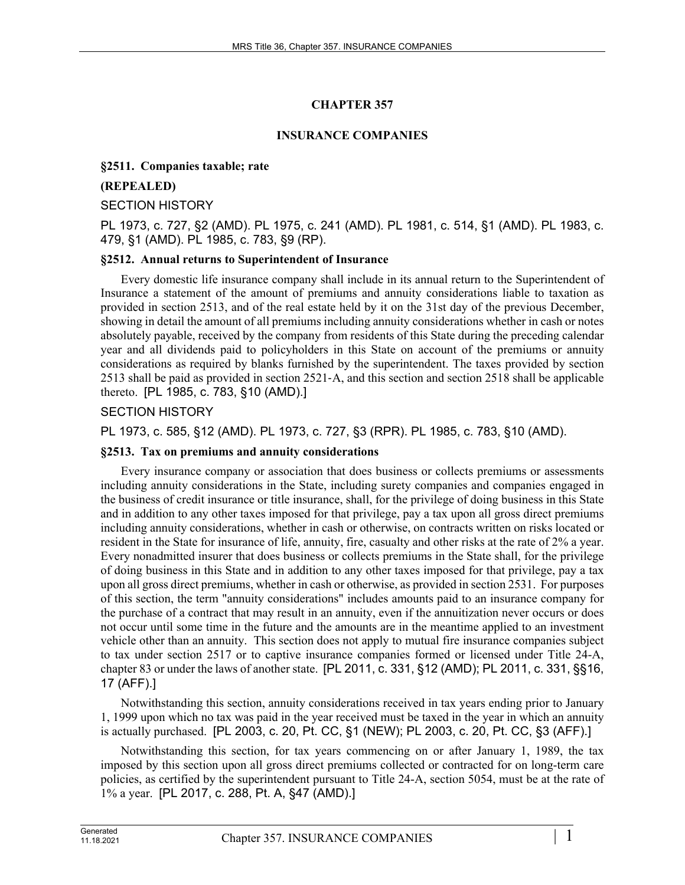# **CHAPTER 357**

## **INSURANCE COMPANIES**

#### **§2511. Companies taxable; rate**

#### **(REPEALED)**

#### SECTION HISTORY

PL 1973, c. 727, §2 (AMD). PL 1975, c. 241 (AMD). PL 1981, c. 514, §1 (AMD). PL 1983, c. 479, §1 (AMD). PL 1985, c. 783, §9 (RP).

## **§2512. Annual returns to Superintendent of Insurance**

Every domestic life insurance company shall include in its annual return to the Superintendent of Insurance a statement of the amount of premiums and annuity considerations liable to taxation as provided in section 2513, and of the real estate held by it on the 31st day of the previous December, showing in detail the amount of all premiums including annuity considerations whether in cash or notes absolutely payable, received by the company from residents of this State during the preceding calendar year and all dividends paid to policyholders in this State on account of the premiums or annuity considerations as required by blanks furnished by the superintendent. The taxes provided by section 2513 shall be paid as provided in section 2521‑A, and this section and section 2518 shall be applicable thereto. [PL 1985, c. 783, §10 (AMD).]

## SECTION HISTORY

PL 1973, c. 585, §12 (AMD). PL 1973, c. 727, §3 (RPR). PL 1985, c. 783, §10 (AMD).

#### **§2513. Tax on premiums and annuity considerations**

Every insurance company or association that does business or collects premiums or assessments including annuity considerations in the State, including surety companies and companies engaged in the business of credit insurance or title insurance, shall, for the privilege of doing business in this State and in addition to any other taxes imposed for that privilege, pay a tax upon all gross direct premiums including annuity considerations, whether in cash or otherwise, on contracts written on risks located or resident in the State for insurance of life, annuity, fire, casualty and other risks at the rate of 2% a year. Every nonadmitted insurer that does business or collects premiums in the State shall, for the privilege of doing business in this State and in addition to any other taxes imposed for that privilege, pay a tax upon all gross direct premiums, whether in cash or otherwise, as provided in section 2531. For purposes of this section, the term "annuity considerations" includes amounts paid to an insurance company for the purchase of a contract that may result in an annuity, even if the annuitization never occurs or does not occur until some time in the future and the amounts are in the meantime applied to an investment vehicle other than an annuity. This section does not apply to mutual fire insurance companies subject to tax under section 2517 or to captive insurance companies formed or licensed under Title 24-A, chapter 83 or under the laws of another state. [PL 2011, c. 331, §12 (AMD); PL 2011, c. 331, §§16, 17 (AFF).]

Notwithstanding this section, annuity considerations received in tax years ending prior to January 1, 1999 upon which no tax was paid in the year received must be taxed in the year in which an annuity is actually purchased. [PL 2003, c. 20, Pt. CC, §1 (NEW); PL 2003, c. 20, Pt. CC, §3 (AFF).]

Notwithstanding this section, for tax years commencing on or after January 1, 1989, the tax imposed by this section upon all gross direct premiums collected or contracted for on long-term care policies, as certified by the superintendent pursuant to Title 24-A, section 5054, must be at the rate of 1% a year. [PL 2017, c. 288, Pt. A, §47 (AMD).]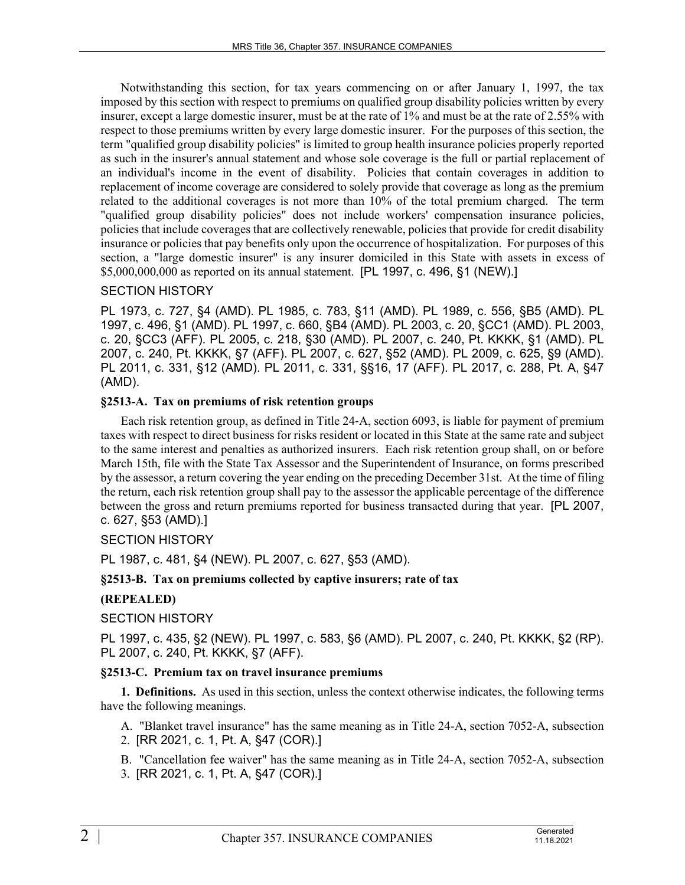Notwithstanding this section, for tax years commencing on or after January 1, 1997, the tax imposed by this section with respect to premiums on qualified group disability policies written by every insurer, except a large domestic insurer, must be at the rate of 1% and must be at the rate of 2.55% with respect to those premiums written by every large domestic insurer. For the purposes of this section, the term "qualified group disability policies" is limited to group health insurance policies properly reported as such in the insurer's annual statement and whose sole coverage is the full or partial replacement of an individual's income in the event of disability. Policies that contain coverages in addition to replacement of income coverage are considered to solely provide that coverage as long as the premium related to the additional coverages is not more than 10% of the total premium charged. The term "qualified group disability policies" does not include workers' compensation insurance policies, policies that include coverages that are collectively renewable, policies that provide for credit disability insurance or policies that pay benefits only upon the occurrence of hospitalization. For purposes of this section, a "large domestic insurer" is any insurer domiciled in this State with assets in excess of \$5,000,000,000 as reported on its annual statement. [PL 1997, c. 496, §1 (NEW).]

## SECTION HISTORY

PL 1973, c. 727, §4 (AMD). PL 1985, c. 783, §11 (AMD). PL 1989, c. 556, §B5 (AMD). PL 1997, c. 496, §1 (AMD). PL 1997, c. 660, §B4 (AMD). PL 2003, c. 20, §CC1 (AMD). PL 2003, c. 20, §CC3 (AFF). PL 2005, c. 218, §30 (AMD). PL 2007, c. 240, Pt. KKKK, §1 (AMD). PL 2007, c. 240, Pt. KKKK, §7 (AFF). PL 2007, c. 627, §52 (AMD). PL 2009, c. 625, §9 (AMD). PL 2011, c. 331, §12 (AMD). PL 2011, c. 331, §§16, 17 (AFF). PL 2017, c. 288, Pt. A, §47 (AMD).

## **§2513-A. Tax on premiums of risk retention groups**

Each risk retention group, as defined in Title 24‑A, section 6093, is liable for payment of premium taxes with respect to direct business for risks resident or located in this State at the same rate and subject to the same interest and penalties as authorized insurers. Each risk retention group shall, on or before March 15th, file with the State Tax Assessor and the Superintendent of Insurance, on forms prescribed by the assessor, a return covering the year ending on the preceding December 31st. At the time of filing the return, each risk retention group shall pay to the assessor the applicable percentage of the difference between the gross and return premiums reported for business transacted during that year. [PL 2007, c. 627, §53 (AMD).]

## SECTION HISTORY

PL 1987, c. 481, §4 (NEW). PL 2007, c. 627, §53 (AMD).

#### **§2513-B. Tax on premiums collected by captive insurers; rate of tax**

#### **(REPEALED)**

#### SECTION HISTORY

PL 1997, c. 435, §2 (NEW). PL 1997, c. 583, §6 (AMD). PL 2007, c. 240, Pt. KKKK, §2 (RP). PL 2007, c. 240, Pt. KKKK, §7 (AFF).

#### **§2513-C. Premium tax on travel insurance premiums**

**1. Definitions.** As used in this section, unless the context otherwise indicates, the following terms have the following meanings.

A. "Blanket travel insurance" has the same meaning as in Title 24-A, section 7052-A, subsection 2. [RR 2021, c. 1, Pt. A, §47 (COR).]

B. "Cancellation fee waiver" has the same meaning as in Title 24-A, section 7052-A, subsection

3. [RR 2021, c. 1, Pt. A, §47 (COR).]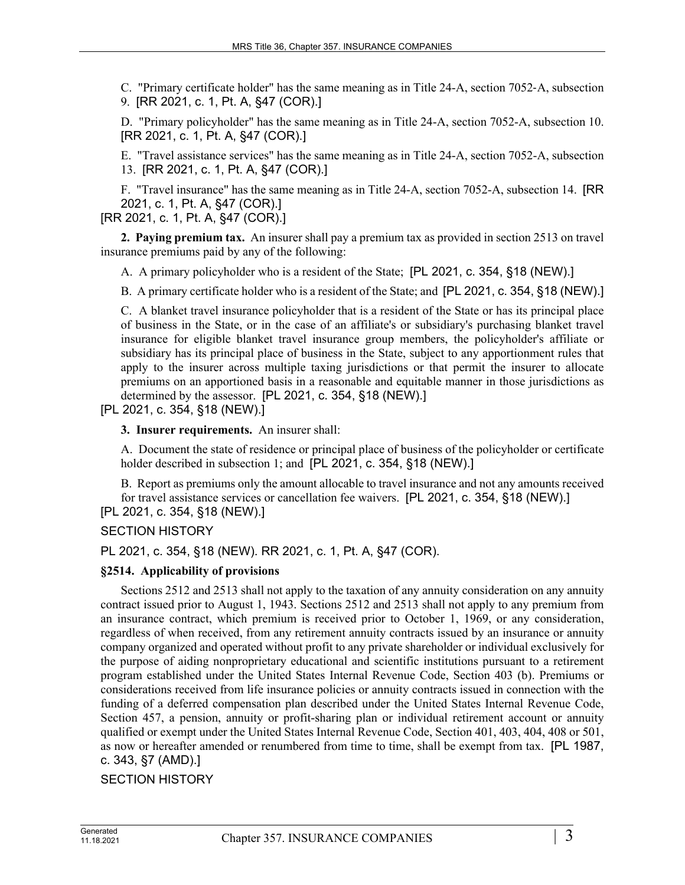C. "Primary certificate holder" has the same meaning as in Title 24-A, section 7052‑A, subsection 9. [RR 2021, c. 1, Pt. A, §47 (COR).]

D. "Primary policyholder" has the same meaning as in Title 24-A, section 7052-A, subsection 10. [RR 2021, c. 1, Pt. A, §47 (COR).]

E. "Travel assistance services" has the same meaning as in Title 24-A, section 7052-A, subsection 13. [RR 2021, c. 1, Pt. A, §47 (COR).]

F. "Travel insurance" has the same meaning as in Title 24-A, section 7052-A, subsection 14. [RR 2021, c. 1, Pt. A, §47 (COR).]

[RR 2021, c. 1, Pt. A, §47 (COR).]

**2. Paying premium tax.** An insurer shall pay a premium tax as provided in section 2513 on travel insurance premiums paid by any of the following:

A. A primary policyholder who is a resident of the State; [PL 2021, c. 354, §18 (NEW).]

B. A primary certificate holder who is a resident of the State; and [PL 2021, c. 354, §18 (NEW).]

C. A blanket travel insurance policyholder that is a resident of the State or has its principal place of business in the State, or in the case of an affiliate's or subsidiary's purchasing blanket travel insurance for eligible blanket travel insurance group members, the policyholder's affiliate or subsidiary has its principal place of business in the State, subject to any apportionment rules that apply to the insurer across multiple taxing jurisdictions or that permit the insurer to allocate premiums on an apportioned basis in a reasonable and equitable manner in those jurisdictions as determined by the assessor. [PL 2021, c. 354, §18 (NEW).]

[PL 2021, c. 354, §18 (NEW).]

**3. Insurer requirements.** An insurer shall:

A. Document the state of residence or principal place of business of the policyholder or certificate holder described in subsection 1; and [PL 2021, c. 354, §18 (NEW).]

B. Report as premiums only the amount allocable to travel insurance and not any amounts received for travel assistance services or cancellation fee waivers. [PL 2021, c. 354, §18 (NEW).]

[PL 2021, c. 354, §18 (NEW).]

SECTION HISTORY

PL 2021, c. 354, §18 (NEW). RR 2021, c. 1, Pt. A, §47 (COR).

#### **§2514. Applicability of provisions**

Sections 2512 and 2513 shall not apply to the taxation of any annuity consideration on any annuity contract issued prior to August 1, 1943. Sections 2512 and 2513 shall not apply to any premium from an insurance contract, which premium is received prior to October 1, 1969, or any consideration, regardless of when received, from any retirement annuity contracts issued by an insurance or annuity company organized and operated without profit to any private shareholder or individual exclusively for the purpose of aiding nonproprietary educational and scientific institutions pursuant to a retirement program established under the United States Internal Revenue Code, Section 403 (b). Premiums or considerations received from life insurance policies or annuity contracts issued in connection with the funding of a deferred compensation plan described under the United States Internal Revenue Code, Section 457, a pension, annuity or profit-sharing plan or individual retirement account or annuity qualified or exempt under the United States Internal Revenue Code, Section 401, 403, 404, 408 or 501, as now or hereafter amended or renumbered from time to time, shall be exempt from tax. [PL 1987, c. 343, §7 (AMD).]

SECTION HISTORY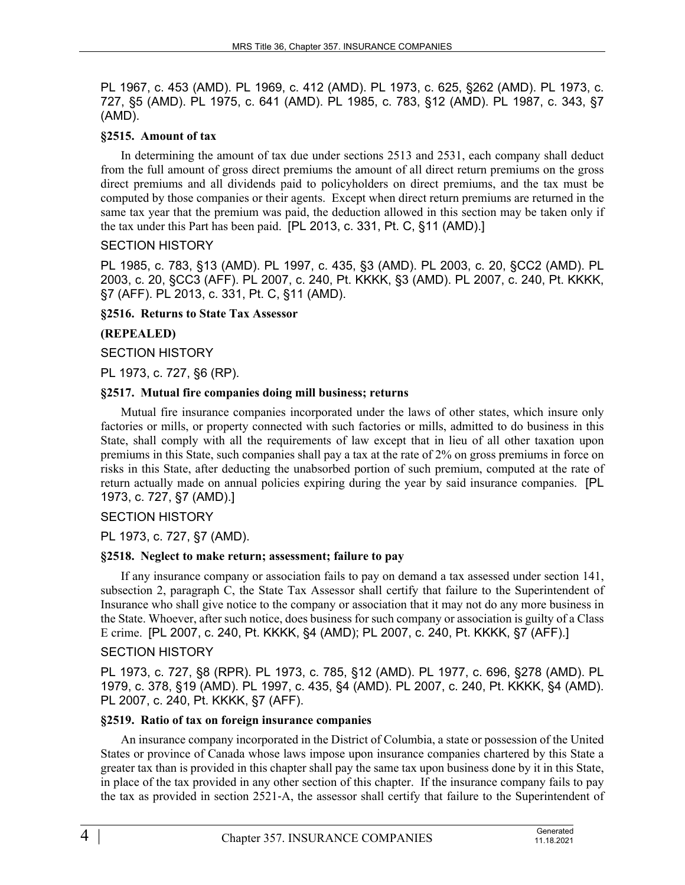PL 1967, c. 453 (AMD). PL 1969, c. 412 (AMD). PL 1973, c. 625, §262 (AMD). PL 1973, c. 727, §5 (AMD). PL 1975, c. 641 (AMD). PL 1985, c. 783, §12 (AMD). PL 1987, c. 343, §7 (AMD).

## **§2515. Amount of tax**

In determining the amount of tax due under sections 2513 and 2531, each company shall deduct from the full amount of gross direct premiums the amount of all direct return premiums on the gross direct premiums and all dividends paid to policyholders on direct premiums, and the tax must be computed by those companies or their agents. Except when direct return premiums are returned in the same tax year that the premium was paid, the deduction allowed in this section may be taken only if the tax under this Part has been paid. [PL 2013, c. 331, Pt. C, §11 (AMD).]

## SECTION HISTORY

PL 1985, c. 783, §13 (AMD). PL 1997, c. 435, §3 (AMD). PL 2003, c. 20, §CC2 (AMD). PL 2003, c. 20, §CC3 (AFF). PL 2007, c. 240, Pt. KKKK, §3 (AMD). PL 2007, c. 240, Pt. KKKK, §7 (AFF). PL 2013, c. 331, Pt. C, §11 (AMD).

#### **§2516. Returns to State Tax Assessor**

## **(REPEALED)**

## SECTION HISTORY

PL 1973, c. 727, §6 (RP).

## **§2517. Mutual fire companies doing mill business; returns**

Mutual fire insurance companies incorporated under the laws of other states, which insure only factories or mills, or property connected with such factories or mills, admitted to do business in this State, shall comply with all the requirements of law except that in lieu of all other taxation upon premiums in this State, such companies shall pay a tax at the rate of 2% on gross premiums in force on risks in this State, after deducting the unabsorbed portion of such premium, computed at the rate of return actually made on annual policies expiring during the year by said insurance companies. [PL 1973, c. 727, §7 (AMD).]

## SECTION HISTORY

PL 1973, c. 727, §7 (AMD).

## **§2518. Neglect to make return; assessment; failure to pay**

If any insurance company or association fails to pay on demand a tax assessed under section 141, subsection 2, paragraph C, the State Tax Assessor shall certify that failure to the Superintendent of Insurance who shall give notice to the company or association that it may not do any more business in the State. Whoever, after such notice, does business for such company or association is guilty of a Class E crime. [PL 2007, c. 240, Pt. KKKK, §4 (AMD); PL 2007, c. 240, Pt. KKKK, §7 (AFF).]

#### SECTION HISTORY

PL 1973, c. 727, §8 (RPR). PL 1973, c. 785, §12 (AMD). PL 1977, c. 696, §278 (AMD). PL 1979, c. 378, §19 (AMD). PL 1997, c. 435, §4 (AMD). PL 2007, c. 240, Pt. KKKK, §4 (AMD). PL 2007, c. 240, Pt. KKKK, §7 (AFF).

#### **§2519. Ratio of tax on foreign insurance companies**

An insurance company incorporated in the District of Columbia, a state or possession of the United States or province of Canada whose laws impose upon insurance companies chartered by this State a greater tax than is provided in this chapter shall pay the same tax upon business done by it in this State, in place of the tax provided in any other section of this chapter. If the insurance company fails to pay the tax as provided in section 2521‑A, the assessor shall certify that failure to the Superintendent of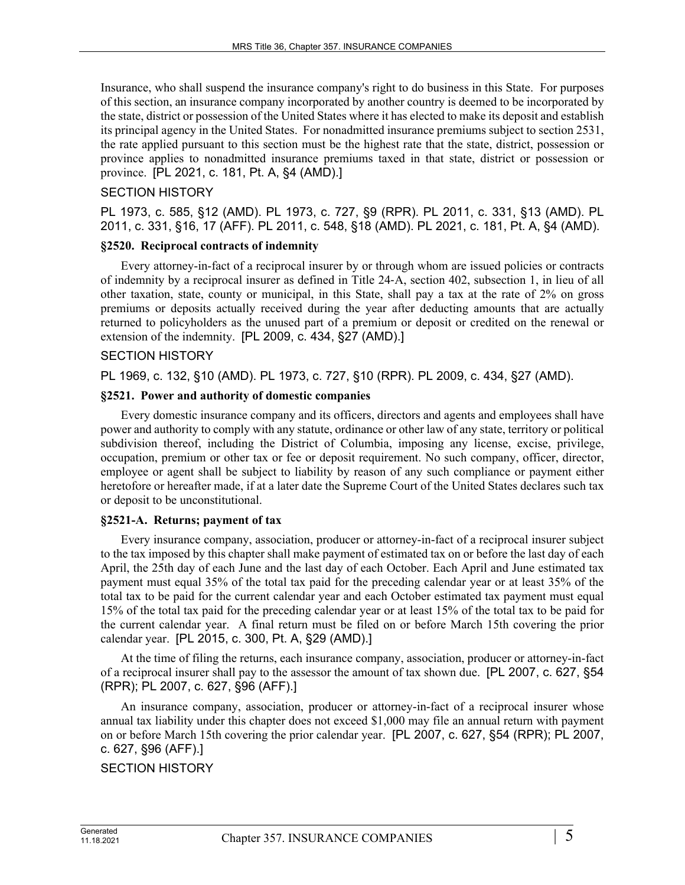Insurance, who shall suspend the insurance company's right to do business in this State. For purposes of this section, an insurance company incorporated by another country is deemed to be incorporated by the state, district or possession of the United States where it has elected to make its deposit and establish its principal agency in the United States. For nonadmitted insurance premiums subject to section 2531, the rate applied pursuant to this section must be the highest rate that the state, district, possession or province applies to nonadmitted insurance premiums taxed in that state, district or possession or province. [PL 2021, c. 181, Pt. A, §4 (AMD).]

## SECTION HISTORY

PL 1973, c. 585, §12 (AMD). PL 1973, c. 727, §9 (RPR). PL 2011, c. 331, §13 (AMD). PL 2011, c. 331, §16, 17 (AFF). PL 2011, c. 548, §18 (AMD). PL 2021, c. 181, Pt. A, §4 (AMD).

## **§2520. Reciprocal contracts of indemnity**

Every attorney-in-fact of a reciprocal insurer by or through whom are issued policies or contracts of indemnity by a reciprocal insurer as defined in Title 24‑A, section 402, subsection 1, in lieu of all other taxation, state, county or municipal, in this State, shall pay a tax at the rate of 2% on gross premiums or deposits actually received during the year after deducting amounts that are actually returned to policyholders as the unused part of a premium or deposit or credited on the renewal or extension of the indemnity. [PL 2009, c. 434, §27 (AMD).]

## SECTION HISTORY

PL 1969, c. 132, §10 (AMD). PL 1973, c. 727, §10 (RPR). PL 2009, c. 434, §27 (AMD).

## **§2521. Power and authority of domestic companies**

Every domestic insurance company and its officers, directors and agents and employees shall have power and authority to comply with any statute, ordinance or other law of any state, territory or political subdivision thereof, including the District of Columbia, imposing any license, excise, privilege, occupation, premium or other tax or fee or deposit requirement. No such company, officer, director, employee or agent shall be subject to liability by reason of any such compliance or payment either heretofore or hereafter made, if at a later date the Supreme Court of the United States declares such tax or deposit to be unconstitutional.

## **§2521-A. Returns; payment of tax**

Every insurance company, association, producer or attorney-in-fact of a reciprocal insurer subject to the tax imposed by this chapter shall make payment of estimated tax on or before the last day of each April, the 25th day of each June and the last day of each October. Each April and June estimated tax payment must equal 35% of the total tax paid for the preceding calendar year or at least 35% of the total tax to be paid for the current calendar year and each October estimated tax payment must equal 15% of the total tax paid for the preceding calendar year or at least 15% of the total tax to be paid for the current calendar year. A final return must be filed on or before March 15th covering the prior calendar year. [PL 2015, c. 300, Pt. A, §29 (AMD).]

At the time of filing the returns, each insurance company, association, producer or attorney-in-fact of a reciprocal insurer shall pay to the assessor the amount of tax shown due. [PL 2007, c. 627, §54 (RPR); PL 2007, c. 627, §96 (AFF).]

An insurance company, association, producer or attorney-in-fact of a reciprocal insurer whose annual tax liability under this chapter does not exceed \$1,000 may file an annual return with payment on or before March 15th covering the prior calendar year. [PL 2007, c. 627, §54 (RPR); PL 2007, c. 627, §96 (AFF).]

```
SECTION HISTORY
```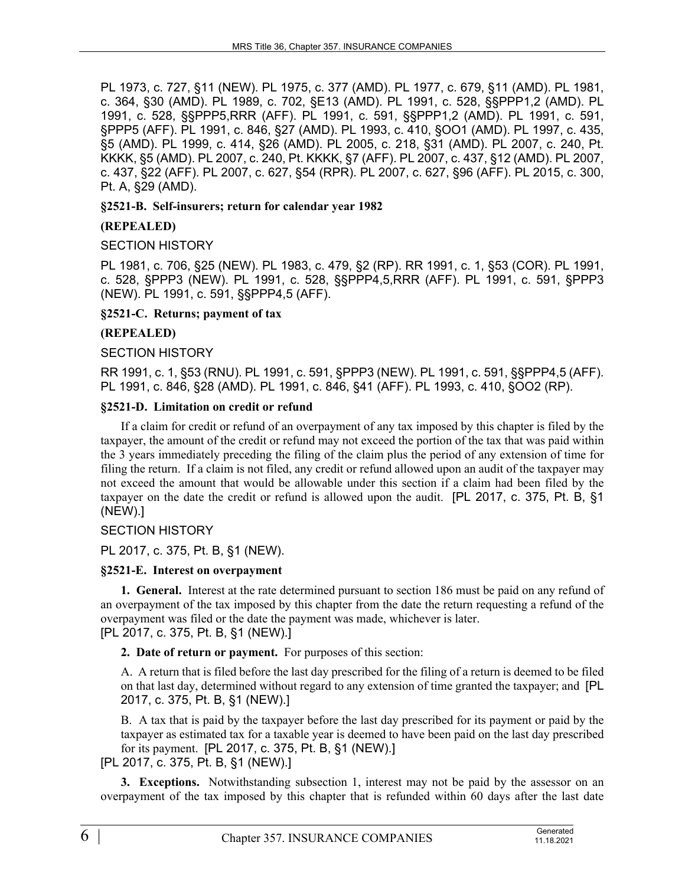PL 1973, c. 727, §11 (NEW). PL 1975, c. 377 (AMD). PL 1977, c. 679, §11 (AMD). PL 1981, c. 364, §30 (AMD). PL 1989, c. 702, §E13 (AMD). PL 1991, c. 528, §§PPP1,2 (AMD). PL 1991, c. 528, §§PPP5,RRR (AFF). PL 1991, c. 591, §§PPP1,2 (AMD). PL 1991, c. 591, §PPP5 (AFF). PL 1991, c. 846, §27 (AMD). PL 1993, c. 410, §OO1 (AMD). PL 1997, c. 435, §5 (AMD). PL 1999, c. 414, §26 (AMD). PL 2005, c. 218, §31 (AMD). PL 2007, c. 240, Pt. KKKK, §5 (AMD). PL 2007, c. 240, Pt. KKKK, §7 (AFF). PL 2007, c. 437, §12 (AMD). PL 2007, c. 437, §22 (AFF). PL 2007, c. 627, §54 (RPR). PL 2007, c. 627, §96 (AFF). PL 2015, c. 300, Pt. A, §29 (AMD).

## **§2521-B. Self-insurers; return for calendar year 1982**

## **(REPEALED)**

## SECTION HISTORY

PL 1981, c. 706, §25 (NEW). PL 1983, c. 479, §2 (RP). RR 1991, c. 1, §53 (COR). PL 1991, c. 528, §PPP3 (NEW). PL 1991, c. 528, §§PPP4,5,RRR (AFF). PL 1991, c. 591, §PPP3 (NEW). PL 1991, c. 591, §§PPP4,5 (AFF).

#### **§2521-C. Returns; payment of tax**

## **(REPEALED)**

## SECTION HISTORY

RR 1991, c. 1, §53 (RNU). PL 1991, c. 591, §PPP3 (NEW). PL 1991, c. 591, §§PPP4,5 (AFF). PL 1991, c. 846, §28 (AMD). PL 1991, c. 846, §41 (AFF). PL 1993, c. 410, §OO2 (RP).

## **§2521-D. Limitation on credit or refund**

If a claim for credit or refund of an overpayment of any tax imposed by this chapter is filed by the taxpayer, the amount of the credit or refund may not exceed the portion of the tax that was paid within the 3 years immediately preceding the filing of the claim plus the period of any extension of time for filing the return. If a claim is not filed, any credit or refund allowed upon an audit of the taxpayer may not exceed the amount that would be allowable under this section if a claim had been filed by the taxpayer on the date the credit or refund is allowed upon the audit. [PL 2017, c. 375, Pt. B, §1 (NEW).]

## SECTION HISTORY

PL 2017, c. 375, Pt. B, §1 (NEW).

#### **§2521-E. Interest on overpayment**

**1. General.** Interest at the rate determined pursuant to section 186 must be paid on any refund of an overpayment of the tax imposed by this chapter from the date the return requesting a refund of the overpayment was filed or the date the payment was made, whichever is later. [PL 2017, c. 375, Pt. B, §1 (NEW).]

**2. Date of return or payment.** For purposes of this section:

A. A return that is filed before the last day prescribed for the filing of a return is deemed to be filed on that last day, determined without regard to any extension of time granted the taxpayer; and [PL 2017, c. 375, Pt. B, §1 (NEW).]

B. A tax that is paid by the taxpayer before the last day prescribed for its payment or paid by the taxpayer as estimated tax for a taxable year is deemed to have been paid on the last day prescribed for its payment. [PL 2017, c. 375, Pt. B, §1 (NEW).]

[PL 2017, c. 375, Pt. B, §1 (NEW).]

**3. Exceptions.** Notwithstanding subsection 1, interest may not be paid by the assessor on an overpayment of the tax imposed by this chapter that is refunded within 60 days after the last date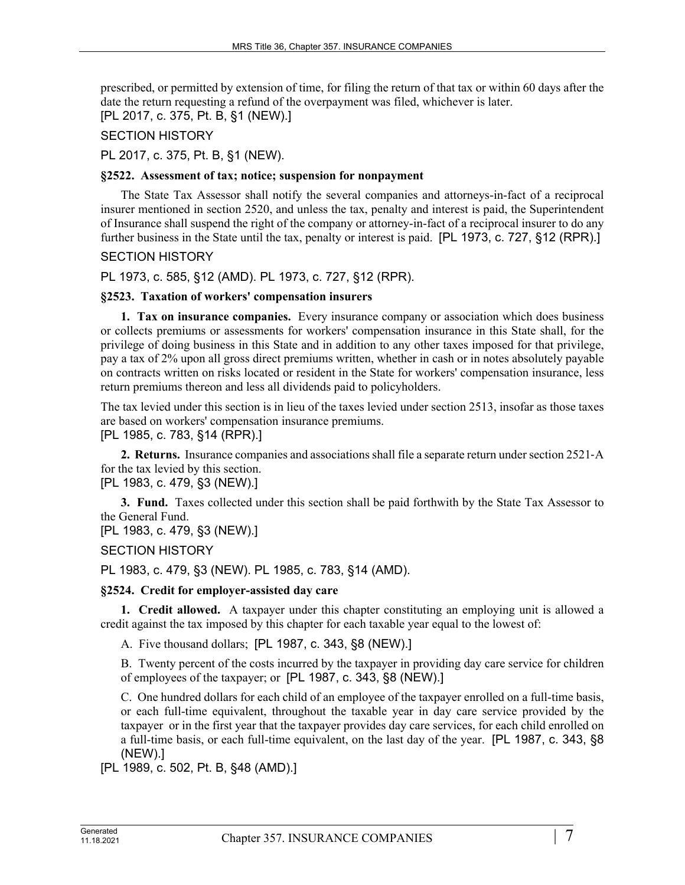prescribed, or permitted by extension of time, for filing the return of that tax or within 60 days after the date the return requesting a refund of the overpayment was filed, whichever is later. [PL 2017, c. 375, Pt. B, §1 (NEW).]

## SECTION HISTORY

PL 2017, c. 375, Pt. B, §1 (NEW).

#### **§2522. Assessment of tax; notice; suspension for nonpayment**

The State Tax Assessor shall notify the several companies and attorneys-in-fact of a reciprocal insurer mentioned in section 2520, and unless the tax, penalty and interest is paid, the Superintendent of Insurance shall suspend the right of the company or attorney-in-fact of a reciprocal insurer to do any further business in the State until the tax, penalty or interest is paid. [PL 1973, c. 727, §12 (RPR).]

## SECTION HISTORY

PL 1973, c. 585, §12 (AMD). PL 1973, c. 727, §12 (RPR).

## **§2523. Taxation of workers' compensation insurers**

**1. Tax on insurance companies.** Every insurance company or association which does business or collects premiums or assessments for workers' compensation insurance in this State shall, for the privilege of doing business in this State and in addition to any other taxes imposed for that privilege, pay a tax of 2% upon all gross direct premiums written, whether in cash or in notes absolutely payable on contracts written on risks located or resident in the State for workers' compensation insurance, less return premiums thereon and less all dividends paid to policyholders.

The tax levied under this section is in lieu of the taxes levied under section 2513, insofar as those taxes are based on workers' compensation insurance premiums.

# [PL 1985, c. 783, §14 (RPR).]

**2. Returns.** Insurance companies and associations shall file a separate return under section 2521‑A for the tax levied by this section.

[PL 1983, c. 479, §3 (NEW).]

**3. Fund.** Taxes collected under this section shall be paid forthwith by the State Tax Assessor to the General Fund.

[PL 1983, c. 479, §3 (NEW).]

SECTION HISTORY

PL 1983, c. 479, §3 (NEW). PL 1985, c. 783, §14 (AMD).

#### **§2524. Credit for employer-assisted day care**

**1. Credit allowed.** A taxpayer under this chapter constituting an employing unit is allowed a credit against the tax imposed by this chapter for each taxable year equal to the lowest of:

A. Five thousand dollars; [PL 1987, c. 343, §8 (NEW).]

B. Twenty percent of the costs incurred by the taxpayer in providing day care service for children of employees of the taxpayer; or [PL 1987, c. 343, §8 (NEW).]

C. One hundred dollars for each child of an employee of the taxpayer enrolled on a full-time basis, or each full-time equivalent, throughout the taxable year in day care service provided by the taxpayer or in the first year that the taxpayer provides day care services, for each child enrolled on a full-time basis, or each full-time equivalent, on the last day of the year. [PL 1987, c. 343, §8 (NEW).]

[PL 1989, c. 502, Pt. B, §48 (AMD).]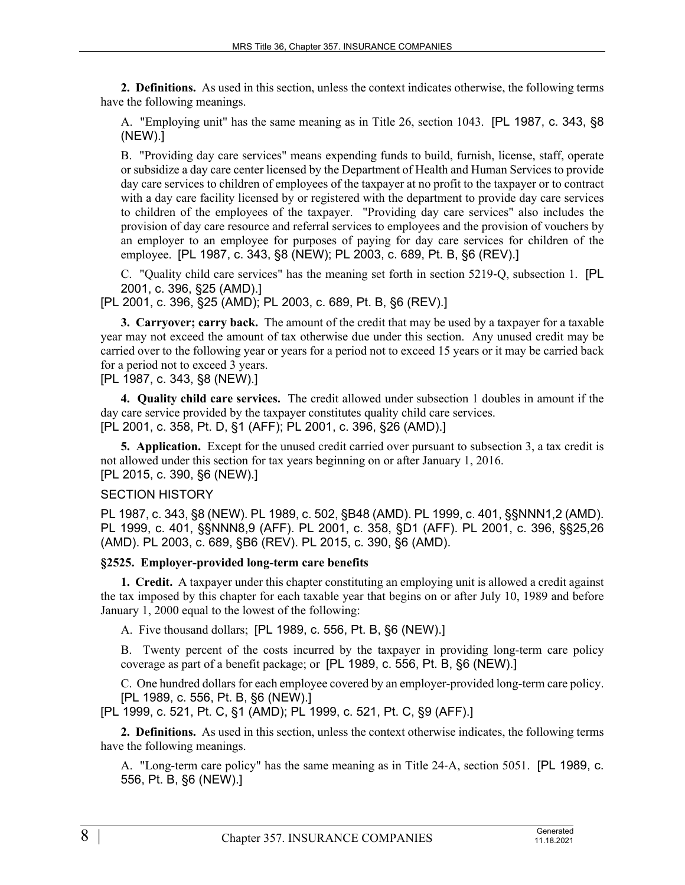**2. Definitions.** As used in this section, unless the context indicates otherwise, the following terms have the following meanings.

A. "Employing unit" has the same meaning as in Title 26, section 1043. [PL 1987, c. 343, §8 (NEW).]

B. "Providing day care services" means expending funds to build, furnish, license, staff, operate or subsidize a day care center licensed by the Department of Health and Human Services to provide day care services to children of employees of the taxpayer at no profit to the taxpayer or to contract with a day care facility licensed by or registered with the department to provide day care services to children of the employees of the taxpayer. "Providing day care services" also includes the provision of day care resource and referral services to employees and the provision of vouchers by an employer to an employee for purposes of paying for day care services for children of the employee. [PL 1987, c. 343, §8 (NEW); PL 2003, c. 689, Pt. B, §6 (REV).]

C. "Quality child care services" has the meaning set forth in section 5219‑Q, subsection 1. [PL 2001, c. 396, §25 (AMD).]

[PL 2001, c. 396, §25 (AMD); PL 2003, c. 689, Pt. B, §6 (REV).]

**3. Carryover; carry back.** The amount of the credit that may be used by a taxpayer for a taxable year may not exceed the amount of tax otherwise due under this section. Any unused credit may be carried over to the following year or years for a period not to exceed 15 years or it may be carried back for a period not to exceed 3 years.

[PL 1987, c. 343, §8 (NEW).]

**4. Quality child care services.** The credit allowed under subsection 1 doubles in amount if the day care service provided by the taxpayer constitutes quality child care services. [PL 2001, c. 358, Pt. D, §1 (AFF); PL 2001, c. 396, §26 (AMD).]

**5. Application.** Except for the unused credit carried over pursuant to subsection 3, a tax credit is not allowed under this section for tax years beginning on or after January 1, 2016. [PL 2015, c. 390, §6 (NEW).]

SECTION HISTORY

PL 1987, c. 343, §8 (NEW). PL 1989, c. 502, §B48 (AMD). PL 1999, c. 401, §§NNN1,2 (AMD). PL 1999, c. 401, §§NNN8,9 (AFF). PL 2001, c. 358, §D1 (AFF). PL 2001, c. 396, §§25,26 (AMD). PL 2003, c. 689, §B6 (REV). PL 2015, c. 390, §6 (AMD).

**§2525. Employer-provided long-term care benefits**

**1. Credit.** A taxpayer under this chapter constituting an employing unit is allowed a credit against the tax imposed by this chapter for each taxable year that begins on or after July 10, 1989 and before January 1, 2000 equal to the lowest of the following:

A. Five thousand dollars; [PL 1989, c. 556, Pt. B, §6 (NEW).]

B. Twenty percent of the costs incurred by the taxpayer in providing long-term care policy coverage as part of a benefit package; or [PL 1989, c. 556, Pt. B, §6 (NEW).]

C. One hundred dollars for each employee covered by an employer-provided long-term care policy. [PL 1989, c. 556, Pt. B, §6 (NEW).]

[PL 1999, c. 521, Pt. C, §1 (AMD); PL 1999, c. 521, Pt. C, §9 (AFF).]

**2. Definitions.** As used in this section, unless the context otherwise indicates, the following terms have the following meanings.

A. "Long-term care policy" has the same meaning as in Title 24‑A, section 5051. [PL 1989, c. 556, Pt. B, §6 (NEW).]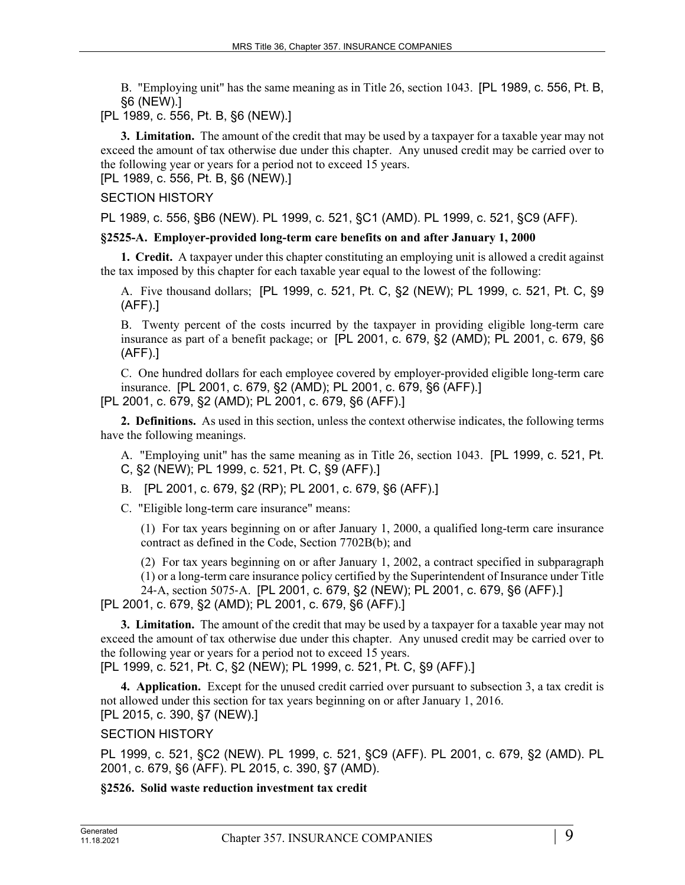B. "Employing unit" has the same meaning as in Title 26, section 1043. [PL 1989, c. 556, Pt. B, §6 (NEW).]

[PL 1989, c. 556, Pt. B, §6 (NEW).]

**3. Limitation.** The amount of the credit that may be used by a taxpayer for a taxable year may not exceed the amount of tax otherwise due under this chapter. Any unused credit may be carried over to the following year or years for a period not to exceed 15 years.

[PL 1989, c. 556, Pt. B, §6 (NEW).]

## SECTION HISTORY

PL 1989, c. 556, §B6 (NEW). PL 1999, c. 521, §C1 (AMD). PL 1999, c. 521, §C9 (AFF).

## **§2525-A. Employer-provided long-term care benefits on and after January 1, 2000**

**1. Credit.** A taxpayer under this chapter constituting an employing unit is allowed a credit against the tax imposed by this chapter for each taxable year equal to the lowest of the following:

A. Five thousand dollars; [PL 1999, c. 521, Pt. C, §2 (NEW); PL 1999, c. 521, Pt. C, §9 (AFF).]

B. Twenty percent of the costs incurred by the taxpayer in providing eligible long-term care insurance as part of a benefit package; or [PL 2001, c. 679, §2 (AMD); PL 2001, c. 679, §6 (AFF).]

C. One hundred dollars for each employee covered by employer-provided eligible long-term care insurance. [PL 2001, c. 679, §2 (AMD); PL 2001, c. 679, §6 (AFF).]

[PL 2001, c. 679, §2 (AMD); PL 2001, c. 679, §6 (AFF).]

**2. Definitions.** As used in this section, unless the context otherwise indicates, the following terms have the following meanings.

A. "Employing unit" has the same meaning as in Title 26, section 1043. [PL 1999, c. 521, Pt. C, §2 (NEW); PL 1999, c. 521, Pt. C, §9 (AFF).]

B. [PL 2001, c. 679, §2 (RP); PL 2001, c. 679, §6 (AFF).]

C. "Eligible long-term care insurance" means:

(1) For tax years beginning on or after January 1, 2000, a qualified long-term care insurance contract as defined in the Code, Section 7702B(b); and

(2) For tax years beginning on or after January 1, 2002, a contract specified in subparagraph (1) or a long-term care insurance policy certified by the Superintendent of Insurance under Title 24‑A, section 5075‑A. [PL 2001, c. 679, §2 (NEW); PL 2001, c. 679, §6 (AFF).]

[PL 2001, c. 679, §2 (AMD); PL 2001, c. 679, §6 (AFF).]

**3. Limitation.** The amount of the credit that may be used by a taxpayer for a taxable year may not exceed the amount of tax otherwise due under this chapter. Any unused credit may be carried over to the following year or years for a period not to exceed 15 years. [PL 1999, c. 521, Pt. C, §2 (NEW); PL 1999, c. 521, Pt. C, §9 (AFF).]

**4. Application.** Except for the unused credit carried over pursuant to subsection 3, a tax credit is not allowed under this section for tax years beginning on or after January 1, 2016. [PL 2015, c. 390, §7 (NEW).]

## SECTION HISTORY

PL 1999, c. 521, §C2 (NEW). PL 1999, c. 521, §C9 (AFF). PL 2001, c. 679, §2 (AMD). PL 2001, c. 679, §6 (AFF). PL 2015, c. 390, §7 (AMD).

## **§2526. Solid waste reduction investment tax credit**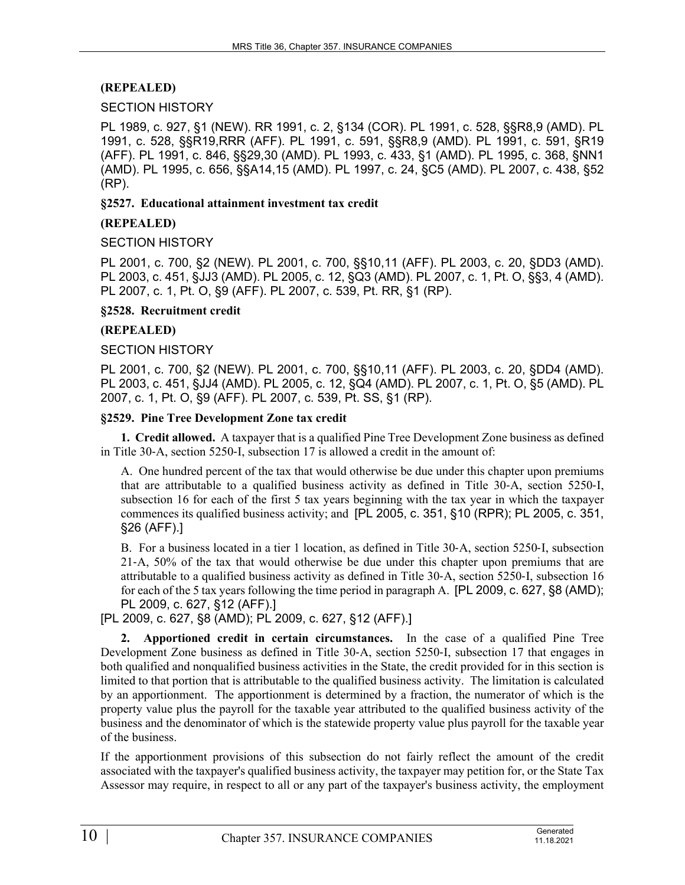## **(REPEALED)**

#### SECTION HISTORY

PL 1989, c. 927, §1 (NEW). RR 1991, c. 2, §134 (COR). PL 1991, c. 528, §§R8,9 (AMD). PL 1991, c. 528, §§R19,RRR (AFF). PL 1991, c. 591, §§R8,9 (AMD). PL 1991, c. 591, §R19 (AFF). PL 1991, c. 846, §§29,30 (AMD). PL 1993, c. 433, §1 (AMD). PL 1995, c. 368, §NN1 (AMD). PL 1995, c. 656, §§A14,15 (AMD). PL 1997, c. 24, §C5 (AMD). PL 2007, c. 438, §52 (RP).

#### **§2527. Educational attainment investment tax credit**

#### **(REPEALED)**

#### SECTION HISTORY

PL 2001, c. 700, §2 (NEW). PL 2001, c. 700, §§10,11 (AFF). PL 2003, c. 20, §DD3 (AMD). PL 2003, c. 451, §JJ3 (AMD). PL 2005, c. 12, §Q3 (AMD). PL 2007, c. 1, Pt. O, §§3, 4 (AMD). PL 2007, c. 1, Pt. O, §9 (AFF). PL 2007, c. 539, Pt. RR, §1 (RP).

#### **§2528. Recruitment credit**

## **(REPEALED)**

#### SECTION HISTORY

PL 2001, c. 700, §2 (NEW). PL 2001, c. 700, §§10,11 (AFF). PL 2003, c. 20, §DD4 (AMD). PL 2003, c. 451, §JJ4 (AMD). PL 2005, c. 12, §Q4 (AMD). PL 2007, c. 1, Pt. O, §5 (AMD). PL 2007, c. 1, Pt. O, §9 (AFF). PL 2007, c. 539, Pt. SS, §1 (RP).

#### **§2529. Pine Tree Development Zone tax credit**

**1. Credit allowed.** A taxpayer that is a qualified Pine Tree Development Zone business as defined in Title 30‑A, section 5250‑I, subsection 17 is allowed a credit in the amount of:

A. One hundred percent of the tax that would otherwise be due under this chapter upon premiums that are attributable to a qualified business activity as defined in Title 30‑A, section 5250‑I, subsection 16 for each of the first 5 tax years beginning with the tax year in which the taxpayer commences its qualified business activity; and [PL 2005, c. 351, §10 (RPR); PL 2005, c. 351, §26 (AFF).]

B. For a business located in a tier 1 location, as defined in Title 30‑A, section 5250‑I, subsection 21‑A, 50% of the tax that would otherwise be due under this chapter upon premiums that are attributable to a qualified business activity as defined in Title 30‑A, section 5250‑I, subsection 16 for each of the 5 tax years following the time period in paragraph A. [PL 2009, c. 627, §8 (AMD); PL 2009, c. 627, §12 (AFF).]

[PL 2009, c. 627, §8 (AMD); PL 2009, c. 627, §12 (AFF).]

**2. Apportioned credit in certain circumstances.** In the case of a qualified Pine Tree Development Zone business as defined in Title 30‑A, section 5250‑I, subsection 17 that engages in both qualified and nonqualified business activities in the State, the credit provided for in this section is limited to that portion that is attributable to the qualified business activity. The limitation is calculated by an apportionment. The apportionment is determined by a fraction, the numerator of which is the property value plus the payroll for the taxable year attributed to the qualified business activity of the business and the denominator of which is the statewide property value plus payroll for the taxable year of the business.

If the apportionment provisions of this subsection do not fairly reflect the amount of the credit associated with the taxpayer's qualified business activity, the taxpayer may petition for, or the State Tax Assessor may require, in respect to all or any part of the taxpayer's business activity, the employment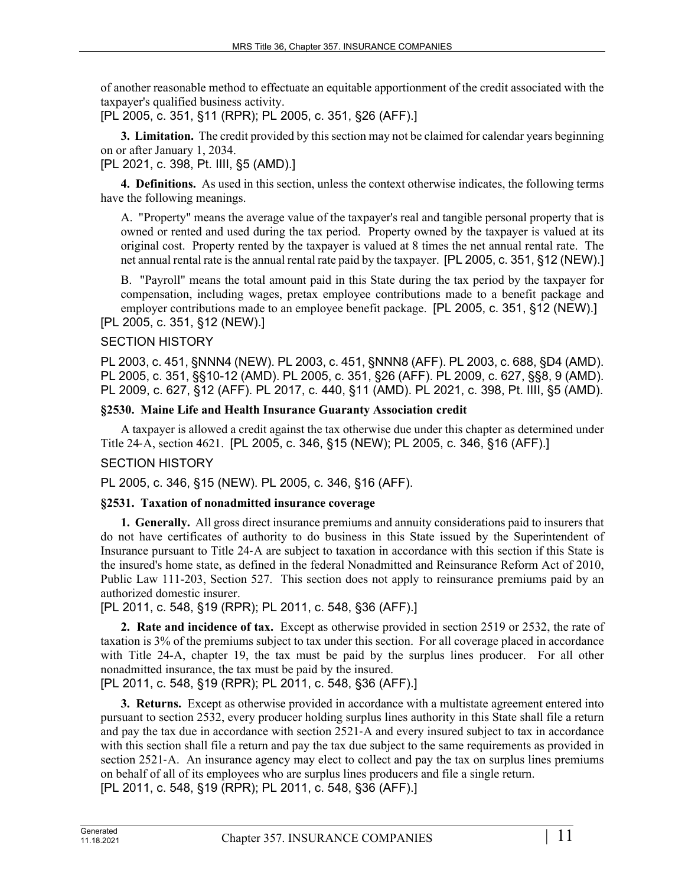of another reasonable method to effectuate an equitable apportionment of the credit associated with the taxpayer's qualified business activity.

[PL 2005, c. 351, §11 (RPR); PL 2005, c. 351, §26 (AFF).]

**3. Limitation.** The credit provided by this section may not be claimed for calendar years beginning on or after January 1, 2034.

[PL 2021, c. 398, Pt. IIII, §5 (AMD).]

**4. Definitions.** As used in this section, unless the context otherwise indicates, the following terms have the following meanings.

A. "Property" means the average value of the taxpayer's real and tangible personal property that is owned or rented and used during the tax period. Property owned by the taxpayer is valued at its original cost. Property rented by the taxpayer is valued at 8 times the net annual rental rate. The net annual rental rate is the annual rental rate paid by the taxpayer. [PL 2005, c. 351, §12 (NEW).]

B. "Payroll" means the total amount paid in this State during the tax period by the taxpayer for compensation, including wages, pretax employee contributions made to a benefit package and employer contributions made to an employee benefit package. [PL 2005, c. 351, §12 (NEW).] [PL 2005, c. 351, §12 (NEW).]

## SECTION HISTORY

PL 2003, c. 451, §NNN4 (NEW). PL 2003, c. 451, §NNN8 (AFF). PL 2003, c. 688, §D4 (AMD). PL 2005, c. 351, §§10-12 (AMD). PL 2005, c. 351, §26 (AFF). PL 2009, c. 627, §§8, 9 (AMD). PL 2009, c. 627, §12 (AFF). PL 2017, c. 440, §11 (AMD). PL 2021, c. 398, Pt. IIII, §5 (AMD).

## **§2530. Maine Life and Health Insurance Guaranty Association credit**

A taxpayer is allowed a credit against the tax otherwise due under this chapter as determined under Title 24‑A, section 4621. [PL 2005, c. 346, §15 (NEW); PL 2005, c. 346, §16 (AFF).]

## SECTION HISTORY

PL 2005, c. 346, §15 (NEW). PL 2005, c. 346, §16 (AFF).

#### **§2531. Taxation of nonadmitted insurance coverage**

**1. Generally.** All gross direct insurance premiums and annuity considerations paid to insurers that do not have certificates of authority to do business in this State issued by the Superintendent of Insurance pursuant to Title 24‑A are subject to taxation in accordance with this section if this State is the insured's home state, as defined in the federal Nonadmitted and Reinsurance Reform Act of 2010, Public Law 111-203, Section 527. This section does not apply to reinsurance premiums paid by an authorized domestic insurer.

[PL 2011, c. 548, §19 (RPR); PL 2011, c. 548, §36 (AFF).]

**2. Rate and incidence of tax.** Except as otherwise provided in section 2519 or 2532, the rate of taxation is 3% of the premiums subject to tax under this section. For all coverage placed in accordance with Title 24-A, chapter 19, the tax must be paid by the surplus lines producer. For all other nonadmitted insurance, the tax must be paid by the insured.

[PL 2011, c. 548, §19 (RPR); PL 2011, c. 548, §36 (AFF).]

**3. Returns.** Except as otherwise provided in accordance with a multistate agreement entered into pursuant to section 2532, every producer holding surplus lines authority in this State shall file a return and pay the tax due in accordance with section 2521‑A and every insured subject to tax in accordance with this section shall file a return and pay the tax due subject to the same requirements as provided in section 2521–A. An insurance agency may elect to collect and pay the tax on surplus lines premiums on behalf of all of its employees who are surplus lines producers and file a single return. [PL 2011, c. 548, §19 (RPR); PL 2011, c. 548, §36 (AFF).]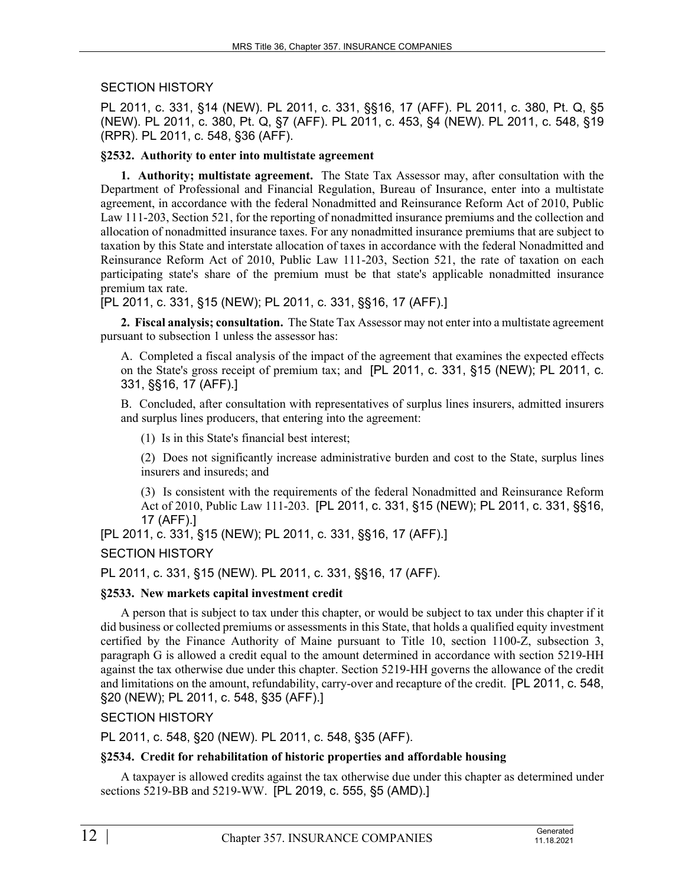## SECTION HISTORY

PL 2011, c. 331, §14 (NEW). PL 2011, c. 331, §§16, 17 (AFF). PL 2011, c. 380, Pt. Q, §5 (NEW). PL 2011, c. 380, Pt. Q, §7 (AFF). PL 2011, c. 453, §4 (NEW). PL 2011, c. 548, §19 (RPR). PL 2011, c. 548, §36 (AFF).

## **§2532. Authority to enter into multistate agreement**

**1. Authority; multistate agreement.** The State Tax Assessor may, after consultation with the Department of Professional and Financial Regulation, Bureau of Insurance, enter into a multistate agreement, in accordance with the federal Nonadmitted and Reinsurance Reform Act of 2010, Public Law 111-203, Section 521, for the reporting of nonadmitted insurance premiums and the collection and allocation of nonadmitted insurance taxes. For any nonadmitted insurance premiums that are subject to taxation by this State and interstate allocation of taxes in accordance with the federal Nonadmitted and Reinsurance Reform Act of 2010, Public Law 111-203, Section 521, the rate of taxation on each participating state's share of the premium must be that state's applicable nonadmitted insurance premium tax rate.

[PL 2011, c. 331, §15 (NEW); PL 2011, c. 331, §§16, 17 (AFF).]

**2. Fiscal analysis; consultation.** The State Tax Assessor may not enter into a multistate agreement pursuant to subsection 1 unless the assessor has:

A. Completed a fiscal analysis of the impact of the agreement that examines the expected effects on the State's gross receipt of premium tax; and [PL 2011, c. 331, §15 (NEW); PL 2011, c. 331, §§16, 17 (AFF).]

B. Concluded, after consultation with representatives of surplus lines insurers, admitted insurers and surplus lines producers, that entering into the agreement:

(1) Is in this State's financial best interest;

(2) Does not significantly increase administrative burden and cost to the State, surplus lines insurers and insureds; and

(3) Is consistent with the requirements of the federal Nonadmitted and Reinsurance Reform Act of 2010, Public Law 111-203. [PL 2011, c. 331, §15 (NEW); PL 2011, c. 331, §§16, 17 (AFF).]

[PL 2011, c. 331, §15 (NEW); PL 2011, c. 331, §§16, 17 (AFF).]

## SECTION HISTORY

PL 2011, c. 331, §15 (NEW). PL 2011, c. 331, §§16, 17 (AFF).

#### **§2533. New markets capital investment credit**

A person that is subject to tax under this chapter, or would be subject to tax under this chapter if it did business or collected premiums or assessments in this State, that holds a qualified equity investment certified by the Finance Authority of Maine pursuant to Title 10, section 1100-Z, subsection 3, paragraph G is allowed a credit equal to the amount determined in accordance with section 5219-HH against the tax otherwise due under this chapter. Section 5219-HH governs the allowance of the credit and limitations on the amount, refundability, carry-over and recapture of the credit. [PL 2011, c. 548, §20 (NEW); PL 2011, c. 548, §35 (AFF).]

#### SECTION HISTORY

PL 2011, c. 548, §20 (NEW). PL 2011, c. 548, §35 (AFF).

#### **§2534. Credit for rehabilitation of historic properties and affordable housing**

A taxpayer is allowed credits against the tax otherwise due under this chapter as determined under sections 5219-BB and 5219-WW. [PL 2019, c. 555, §5 (AMD).]